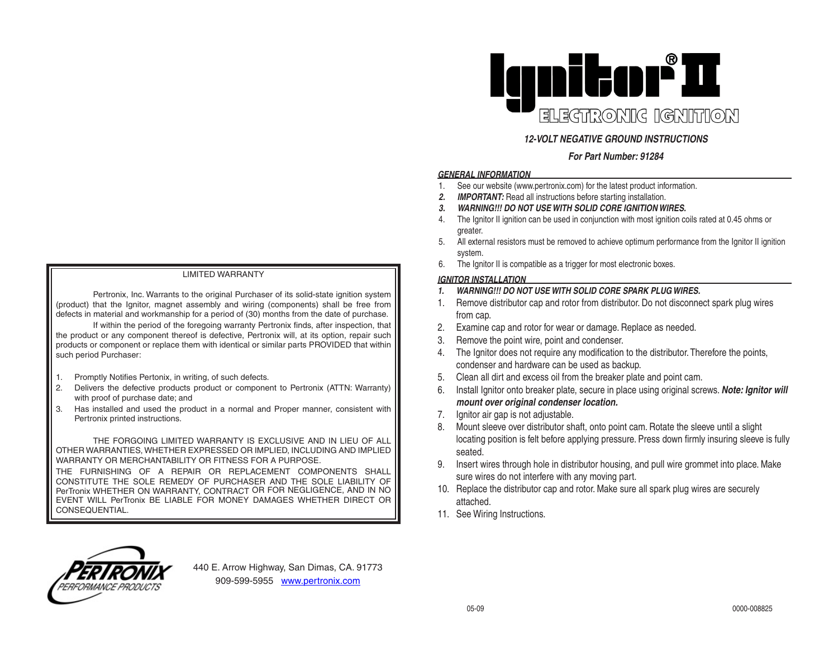#### LIMITED WARRANTY

Pertronix, Inc. Warrants to the original Purchaser of its solid-state ignition system (product) that the Ignitor, magnet assembly and wiring (components) shall be free from defects in material and workmanship for a period of (30) months from the date of purchase.

If within the period of the foregoing warranty Pertronix finds, after inspection, that the product or any component thereof is defective, Pertronix will, at its option, repair such products or component or replace them with identical or similar parts PROVIDED that within such period Purchaser:

- 1. Promptly Notifies Pertonix, in writing, of such defects.
- 2. Delivers the defective products product or component to Pertronix (ATTN: Warranty) with proof of purchase date; and
- 3. Has installed and used the product in a normal and Proper manner, consistent with Pertronix printed instructions.

THE FORGOING LIMITED WARRANTY IS EXCLUSIVE AND IN LIEU OF ALL OTHER WARRANTIES, WHETHER EXPRESSED OR IMPLIED, INCLUDING AND IMPLIED WARRANTY OR MERCHANTABILITY OR FITNESS FOR A PURPOSE. THE FURNISHING OF A REPAIR OR REPLACEMENT COMPONENTS SHALL CONSTITUTE THE SOLE REMEDY OF PURCHASER AND THE SOLE LIABILITY OF PerTronix WHETHER ON WARRANTY, CONTRACT OR FOR NEGLIGENCE, AND IN NO EVENT WILL PerTronix BE LIABLE FOR MONEY DAMAGES WHETHER DIRECT OR



# *12-VOLT NEGATIVE GROUND INSTRUCTIONS*

## *For Part Number: 91284*

## *GENERAL INFORMATION*

- 1. See our website (www.pertronix.com) for the latest product information.
- *2. IMPORTANT:* Read all instructions before starting installation.
- *3. WARNING!!! DO NOT USE WITH SOLID CORE IGNITION WIRES.*
- 4. The Ignitor II ignition can be used in conjunction with most ignition coils rated at 0.45 ohms or greater.
- 5. All external resistors must be removed to achieve optimum performance from the Ignitor II ignition system.
- 6. The Ignitor II is compatible as a trigger for most electronic boxes.

### *IGNITOR INSTALLATION*

- *1. WARNING!!! DO NOT USE WITH SOLID CORE SPARK PLUG WIRES.*
- 1. Remove distributor cap and rotor from distributor. Do not disconnect spark plug wires from cap.
- 2. Examine cap and rotor for wear or damage. Replace as needed.
- 3. Remove the point wire, point and condenser.
- 4. The Ignitor does not require any modification to the distributor. Therefore the points, condenser and hardware can be used as backup.
- 5. Clean all dirt and excess oil from the breaker plate and point cam.
- 6. Install Ignitor onto breaker plate, secure in place using original screws. *Note: Ignitor will mount over original condenser location.*
- 7. Ignitor air gap is not adjustable.
- 8. Mount sleeve over distributor shaft, onto point cam. Rotate the sleeve until a slight locating position is felt before applying pressure. Press down firmly insuring sleeve is fully seated.
- 9. Insert wires through hole in distributor housing, and pull wire grommet into place. Make sure wires do not interfere with any moving part.
- 10. Replace the distributor cap and rotor. Make sure all spark plug wires are securely attached.
- 11. See Wiring Instructions.



CONSEQUENTIAL.

440 E. Arrow Highway, San Dimas, CA. 91773 909-599-5955 www.pertronix.com